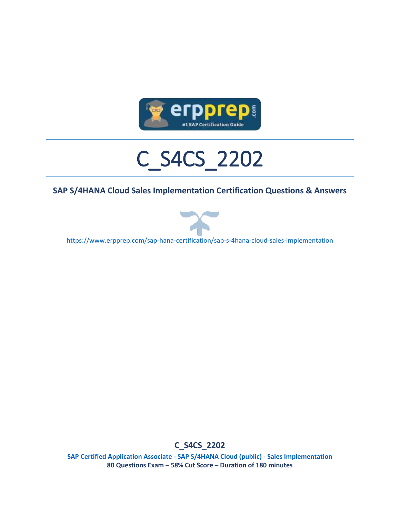

# C\_S4CS\_2202

#### **SAP S/4HANA Cloud Sales Implementation Certification Questions & Answers**



<https://www.erpprep.com/sap-hana-certification/sap-s-4hana-cloud-sales-implementation>

**C\_S4CS\_2202**

**[SAP Certified Application Associate -](https://training.sap.com/certification/c_s4cs_2202-sap-certified-application-associate---sap-s4hana-cloud-public---sales-implementation-g/) SAP S/4HANA Cloud (public) - Sales Implementation 80 Questions Exam – 58% Cut Score – Duration of 180 minutes**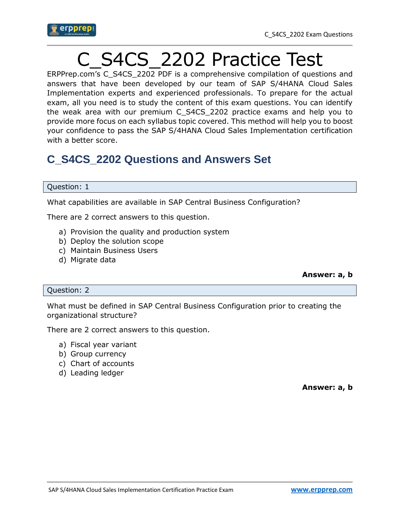

## C\_S4CS\_2202 Practice Test

ERPPrep.com's C\_S4CS\_2202 PDF is a comprehensive compilation of questions and answers that have been developed by our team of SAP S/4HANA Cloud Sales Implementation experts and experienced professionals. To prepare for the actual exam, all you need is to study the content of this exam questions. You can identify the weak area with our premium C\_S4CS\_2202 practice exams and help you to provide more focus on each syllabus topic covered. This method will help you to boost your confidence to pass the SAP S/4HANA Cloud Sales Implementation certification with a better score.

## **C\_S4CS\_2202 Questions and Answers Set**

#### Question: 1

What capabilities are available in SAP Central Business Configuration?

There are 2 correct answers to this question.

- a) Provision the quality and production system
- b) Deploy the solution scope
- c) Maintain Business Users
- d) Migrate data

#### Question: 2

What must be defined in SAP Central Business Configuration prior to creating the organizational structure?

There are 2 correct answers to this question.

- a) Fiscal year variant
- b) Group currency
- c) Chart of accounts
- d) Leading ledger

**Answer: a, b**

**Answer: a, b**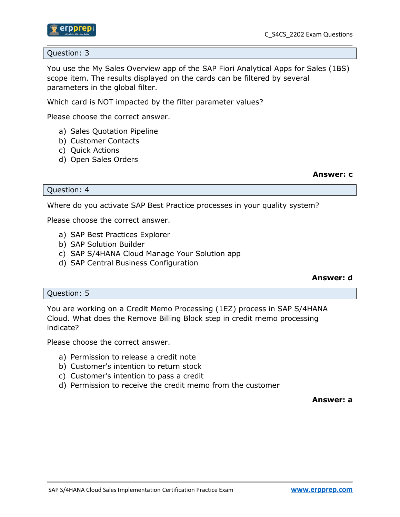

Question: 3

You use the My Sales Overview app of the SAP Fiori Analytical Apps for Sales (1BS) scope item. The results displayed on the cards can be filtered by several parameters in the global filter.

Which card is NOT impacted by the filter parameter values?

Please choose the correct answer.

- a) Sales Quotation Pipeline
- b) Customer Contacts
- c) Quick Actions
- d) Open Sales Orders

#### **Answer: c**

Question: 4

Where do you activate SAP Best Practice processes in your quality system?

Please choose the correct answer.

- a) SAP Best Practices Explorer
- b) SAP Solution Builder
- c) SAP S/4HANA Cloud Manage Your Solution app
- d) SAP Central Business Configuration

#### **Answer: d**

#### Question: 5

You are working on a Credit Memo Processing (1EZ) process in SAP S/4HANA Cloud. What does the Remove Billing Block step in credit memo processing indicate?

Please choose the correct answer.

- a) Permission to release a credit note
- b) Customer's intention to return stock
- c) Customer's intention to pass a credit
- d) Permission to receive the credit memo from the customer

**Answer: a**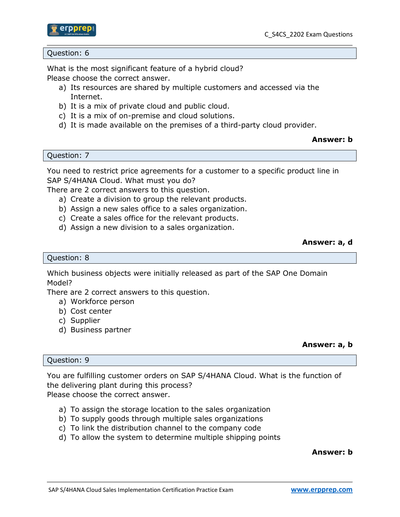

#### Question: 6

What is the most significant feature of a hybrid cloud? Please choose the correct answer.

- a) Its resources are shared by multiple customers and accessed via the Internet.
- b) It is a mix of private cloud and public cloud.
- c) It is a mix of on-premise and cloud solutions.
- d) It is made available on the premises of a third-party cloud provider.

#### **Answer: b**

Question: 7

You need to restrict price agreements for a customer to a specific product line in SAP S/4HANA Cloud. What must you do?

There are 2 correct answers to this question.

- a) Create a division to group the relevant products.
- b) Assign a new sales office to a sales organization.
- c) Create a sales office for the relevant products.
- d) Assign a new division to a sales organization.

#### **Answer: a, d**

#### Question: 8

Which business objects were initially released as part of the SAP One Domain Model?

There are 2 correct answers to this question.

- a) Workforce person
- b) Cost center
- c) Supplier
- d) Business partner

#### **Answer: a, b**

#### Question: 9

You are fulfilling customer orders on SAP S/4HANA Cloud. What is the function of the delivering plant during this process? Please choose the correct answer.

- a) To assign the storage location to the sales organization
- b) To supply goods through multiple sales organizations
- c) To link the distribution channel to the company code
- d) To allow the system to determine multiple shipping points

#### **Answer: b**